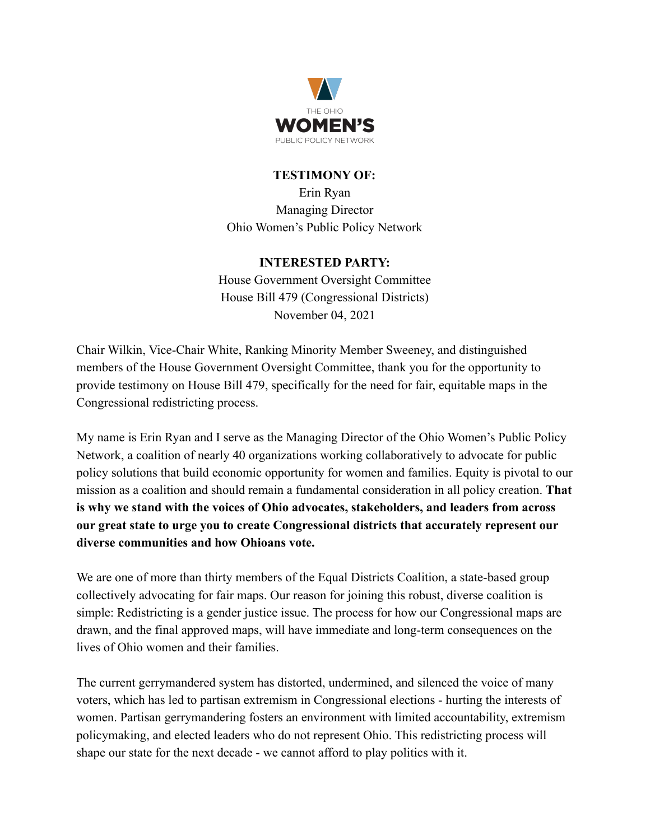

## **TESTIMONY OF:**

Erin Ryan Managing Director Ohio Women's Public Policy Network

## **INTERESTED PARTY:**

House Government Oversight Committee House Bill 479 (Congressional Districts) November 04, 2021

Chair Wilkin, Vice-Chair White, Ranking Minority Member Sweeney, and distinguished members of the House Government Oversight Committee, thank you for the opportunity to provide testimony on House Bill 479, specifically for the need for fair, equitable maps in the Congressional redistricting process.

My name is Erin Ryan and I serve as the Managing Director of the Ohio Women's Public Policy Network, a coalition of nearly 40 organizations working collaboratively to advocate for public policy solutions that build economic opportunity for women and families. Equity is pivotal to our mission as a coalition and should remain a fundamental consideration in all policy creation. **That is why we stand with the voices of Ohio advocates, stakeholders, and leaders from across our great state to urge you to create Congressional districts that accurately represent our diverse communities and how Ohioans vote.**

We are one of more than thirty members of the Equal Districts Coalition, a state-based group collectively advocating for fair maps. Our reason for joining this robust, diverse coalition is simple: Redistricting is a gender justice issue. The process for how our Congressional maps are drawn, and the final approved maps, will have immediate and long-term consequences on the lives of Ohio women and their families.

The current gerrymandered system has distorted, undermined, and silenced the voice of many voters, which has led to partisan extremism in Congressional elections - hurting the interests of women. Partisan gerrymandering fosters an environment with limited accountability, extremism policymaking, and elected leaders who do not represent Ohio. This redistricting process will shape our state for the next decade - we cannot afford to play politics with it.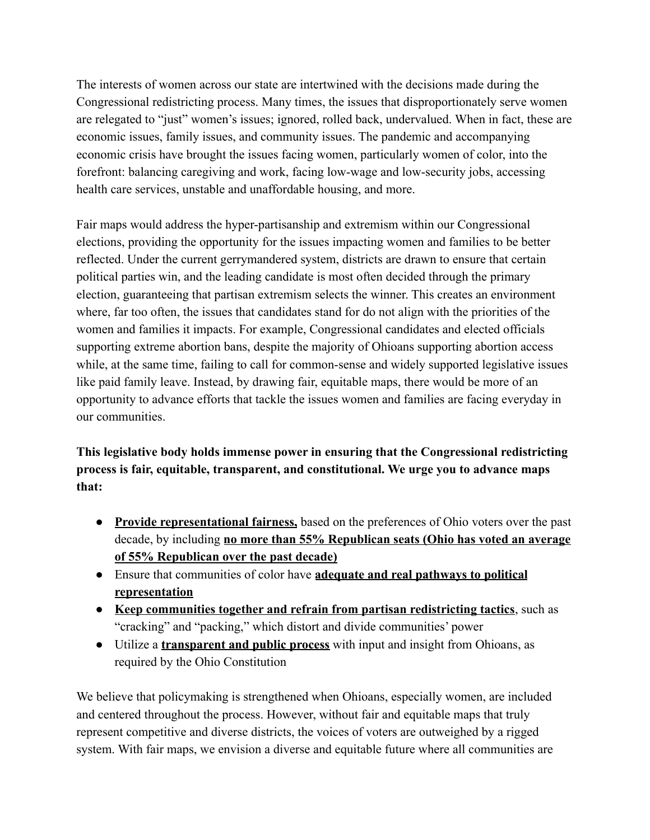The interests of women across our state are intertwined with the decisions made during the Congressional redistricting process. Many times, the issues that disproportionately serve women are relegated to "just" women's issues; ignored, rolled back, undervalued. When in fact, these are economic issues, family issues, and community issues. The pandemic and accompanying economic crisis have brought the issues facing women, particularly women of color, into the forefront: balancing caregiving and work, facing low-wage and low-security jobs, accessing health care services, unstable and unaffordable housing, and more.

Fair maps would address the hyper-partisanship and extremism within our Congressional elections, providing the opportunity for the issues impacting women and families to be better reflected. Under the current gerrymandered system, districts are drawn to ensure that certain political parties win, and the leading candidate is most often decided through the primary election, guaranteeing that partisan extremism selects the winner. This creates an environment where, far too often, the issues that candidates stand for do not align with the priorities of the women and families it impacts. For example, Congressional candidates and elected officials supporting extreme abortion bans, despite the majority of Ohioans supporting abortion access while, at the same time, failing to call for common-sense and widely supported legislative issues like paid family leave. Instead, by drawing fair, equitable maps, there would be more of an opportunity to advance efforts that tackle the issues women and families are facing everyday in our communities.

**This legislative body holds immense power in ensuring that the Congressional redistricting process is fair, equitable, transparent, and constitutional. We urge you to advance maps that:**

- **Provide representational fairness,** based on the preferences of Ohio voters over the past decade, by including **no more than 55% Republican seats (Ohio has voted an average of 55% Republican over the past decade)**
- Ensure that communities of color have **adequate and real pathways to political representation**
- **Keep communities together and refrain from partisan redistricting tactics**, such as "cracking" and "packing," which distort and divide communities' power
- Utilize a **transparent and public process** with input and insight from Ohioans, as required by the Ohio Constitution

We believe that policymaking is strengthened when Ohioans, especially women, are included and centered throughout the process. However, without fair and equitable maps that truly represent competitive and diverse districts, the voices of voters are outweighed by a rigged system. With fair maps, we envision a diverse and equitable future where all communities are